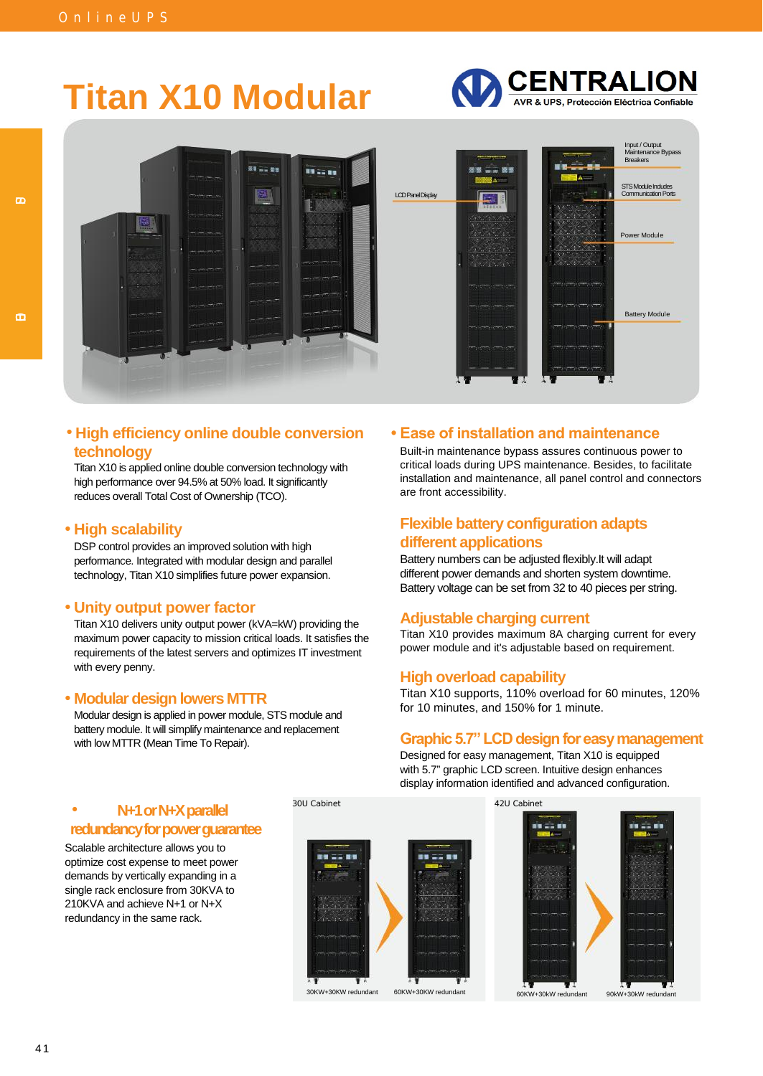# **Titan X10 Modular**





#### **High efficiency online double conversion • Ease of installation and maintenance** • **technology**

Titan X10 is applied online double conversion technology with high performance over 94.5% at 50% load. It significantly reduces overall Total Cost of Ownership (TCO).

#### **High scalability** •

DSP control provides an improved solution with high performance. Integrated with modular design and parallel technology, Titan X10 simplifies future power expansion.

#### **Unity output power factor** •

Titan X10 delivers unity output power (kVA=kW) providing the maximum power capacity to mission critical loads. It satisfies the requirements of the latest servers and optimizes IT investment with every penny.

#### **Modular design lowers MTTR** •

Modular design is applied in power module, STS module and battery module. It will simplify maintenance and replacement with low MTTR (Mean Time To Repair).

Built-in maintenance bypass assures continuous power to critical loads during UPS maintenance. Besides, to facilitate installation and maintenance, all panel control and connectors are front accessibility.

#### **Flexible battery configuration adapts different applications**

Battery numbers can be adjusted flexibly.It will adapt different power demands and shorten system downtime. Battery voltage can be set from 32 to 40 pieces per string.

#### **Adjustable charging current**

Titan X10 provides maximum 8A charging current for every power module and it's adjustable based on requirement.

#### **High overload capability**

Titan X10 supports, 110% overload for 60 minutes, 120% for 10 minutes, and 150% for 1 minute.

#### **Graphic 5.7" LCD design for easy management**

Designed for easy management, Titan X10 is equipped with 5.7" graphic LCD screen. Intuitive design enhances display information identified and advanced configuration.



Scalable architecture allows you to optimize cost expense to meet power demands by vertically expanding in a single rack enclosure from 30KVA to 210KVA and achieve N+1 or N+X redundancy in the same rack.





 $\sigma$ 

 $\overline{m}$ 

41